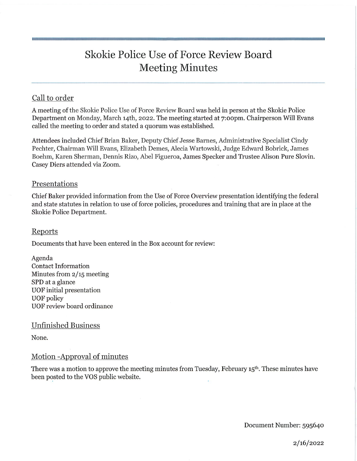# Skokie Police Use of Force Review Board Meeting Minutes

# Call to order

A meeting of the Skokie Police Use of Force Review Board was held in person at the Skokie Police Department on Monday, March i4th, 2022. The meeting started at 7:oopm. Chairperson Will Evans called the meeting to order and stated a quorum was established.

Attendees included Chief Brian Baker, Deputy Chief Jesse Barnes, Administrative Specialist Cindy Pechter, Chairman Will Evans, Elizabeth Demes, Alecia Wartowski, Judge Edward Bobrick, James Boehm, Karen Sherman, Dennis Rizo, Abel Figueroa, James Specker and Trustee Alison Pure Slovin. Casey Diers attended via Zoom.

## Presentations

Chief Baker provided information from the Use of Force Overview presentation identifying the federal and state statutes in relation to use of force policies, procedures and training that are in place at the Skokie Police Department.

#### Reports

Documents that have been entered in the Box account for review:

Agenda Contact Information Minutes from 2/15 meeting SPD at a glance UOF initial presentation UOF policy UOP review board ordinance

#### Unfinished Business

None.

## Motion -Approval of minutes

There was a motion to approve the meeting minutes from Tuesday, February 15th. These minutes have been posted to the VOS public website.

Document Number: 595640